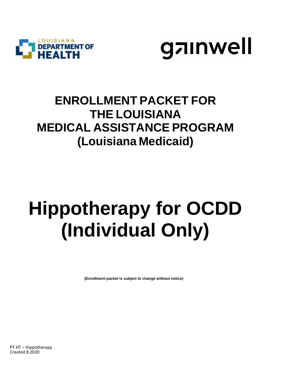



## **ENROLLMENT PACKET FOR THE LOUISIANA MEDICAL ASSISTANCE PROGRAM (Louisiana Medicaid)**

## **Hippotherapy for OCDD (Individual Only)**

 **(Enrollment packet is subject to change without notice)**

PT HT – Hippotherapy Created 8.2020